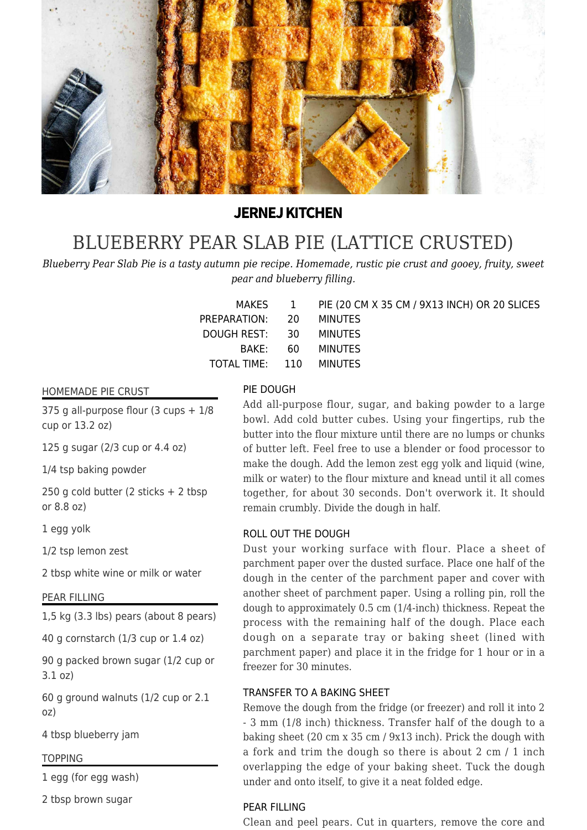

# **JERNEJ KITCHEN**

# [BLUEBERRY PEAR SLAB PIE \(LATTICE CRUSTED\)](https://jernejkitchen.com/recipes/fruit/blueberry-pear-slab-pie)

*Blueberry Pear Slab Pie is a tasty autumn pie recipe. Homemade, rustic pie crust and gooey, fruity, sweet pear and blueberry filling.*

|                         | MAKES 1 PIE (20 CM X 35 CM / 9X13 INCH) OR 20 SLICES |
|-------------------------|------------------------------------------------------|
| PREPARATION: 20 MINUTES |                                                      |
| DOUGH REST: 30 MINUTES  |                                                      |
|                         | BAKE: 60 MINUTES                                     |
| TOTAL TIME: 110 MINUTES |                                                      |
|                         |                                                      |

#### HOMEMADE PIE CRUST

375 g all-purpose flour (3 cups  $+1/8$ cup or 13.2 oz)

125 g sugar (2/3 cup or 4.4 oz)

1/4 tsp baking powder

250 g cold butter (2 sticks + 2 tbsp or 8.8 oz)

1 egg yolk

1/2 tsp lemon zest

2 tbsp white wine or milk or water

#### PEAR FILLING

1,5 kg (3.3 lbs) pears (about 8 pears)

40 g cornstarch (1/3 cup or 1.4 oz)

90 g packed brown sugar (1/2 cup or 3.1 oz)

60 g ground walnuts (1/2 cup or 2.1 oz)

4 tbsp blueberry jam

#### TOPPING

1 egg (for egg wash)

2 tbsp brown sugar

#### PIE DOUGH

Add all-purpose flour, sugar, and baking powder to a large bowl. Add cold butter cubes. Using your fingertips, rub the butter into the flour mixture until there are no lumps or chunks of butter left. Feel free to use a blender or food processor to make the dough. Add the lemon zest egg yolk and liquid (wine, milk or water) to the flour mixture and knead until it all comes together, for about 30 seconds. Don't overwork it. It should remain crumbly. Divide the dough in half.

#### ROLL OUT THE DOUGH

Dust your working surface with flour. Place a sheet of parchment paper over the dusted surface. Place one half of the dough in the center of the parchment paper and cover with another sheet of parchment paper. Using a rolling pin, roll the dough to approximately 0.5 cm (1/4-inch) thickness. Repeat the process with the remaining half of the dough. Place each dough on a separate tray or baking sheet (lined with parchment paper) and place it in the fridge for 1 hour or in a freezer for 30 minutes.

#### TRANSFER TO A BAKING SHEET

Remove the dough from the fridge (or freezer) and roll it into 2 - 3 mm (1/8 inch) thickness. Transfer half of the dough to a baking sheet (20 cm x 35 cm / 9x13 inch). Prick the dough with a fork and trim the dough so there is about 2 cm / 1 inch overlapping the edge of your baking sheet. Tuck the dough under and onto itself, to give it a neat folded edge.

# PEAR FILLING

Clean and peel pears. Cut in quarters, remove the core and